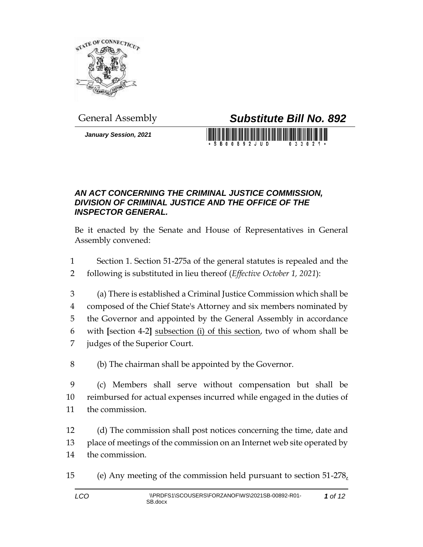

*January Session, 2021*

## General Assembly *Substitute Bill No. 892*

**SB00892JUD** 

## *AN ACT CONCERNING THE CRIMINAL JUSTICE COMMISSION, DIVISION OF CRIMINAL JUSTICE AND THE OFFICE OF THE INSPECTOR GENERAL.*

Be it enacted by the Senate and House of Representatives in General Assembly convened:

- 1 Section 1. Section 51-275a of the general statutes is repealed and the
- 2 following is substituted in lieu thereof (*Effective October 1, 2021*):
- 3 (a) There is established a Criminal Justice Commission which shall be 4 composed of the Chief State's Attorney and six members nominated by 5 the Governor and appointed by the General Assembly in accordance 6 with **[**section 4-2**]** subsection (i) of this section, two of whom shall be 7 judges of the Superior Court.
- 8 (b) The chairman shall be appointed by the Governor.
- 9 (c) Members shall serve without compensation but shall be 10 reimbursed for actual expenses incurred while engaged in the duties of 11 the commission.
- 12 (d) The commission shall post notices concerning the time, date and 13 place of meetings of the commission on an Internet web site operated by 14 the commission.
- 15 (e) Any meeting of the commission held pursuant to section  $51-278$ ,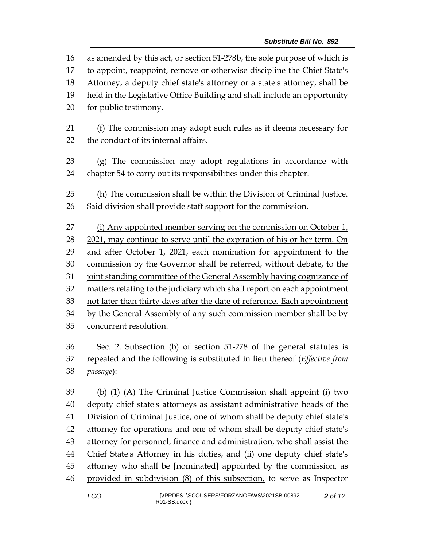as amended by this act, or section 51-278b, the sole purpose of which is to appoint, reappoint, remove or otherwise discipline the Chief State's Attorney, a deputy chief state's attorney or a state's attorney, shall be held in the Legislative Office Building and shall include an opportunity for public testimony. (f) The commission may adopt such rules as it deems necessary for the conduct of its internal affairs. (g) The commission may adopt regulations in accordance with chapter 54 to carry out its responsibilities under this chapter. (h) The commission shall be within the Division of Criminal Justice. Said division shall provide staff support for the commission. (i) Any appointed member serving on the commission on October 1, 28 2021, may continue to serve until the expiration of his or her term. On and after October 1, 2021, each nomination for appointment to the commission by the Governor shall be referred, without debate, to the 31 joint standing committee of the General Assembly having cognizance of matters relating to the judiciary which shall report on each appointment not later than thirty days after the date of reference. Each appointment by the General Assembly of any such commission member shall be by concurrent resolution. Sec. 2. Subsection (b) of section 51-278 of the general statutes is repealed and the following is substituted in lieu thereof (*Effective from passage*):

 (b) (1) (A) The Criminal Justice Commission shall appoint (i) two deputy chief state's attorneys as assistant administrative heads of the Division of Criminal Justice, one of whom shall be deputy chief state's attorney for operations and one of whom shall be deputy chief state's attorney for personnel, finance and administration, who shall assist the Chief State's Attorney in his duties, and (ii) one deputy chief state's attorney who shall be **[**nominated**]** appointed by the commission, as provided in subdivision (8) of this subsection, to serve as Inspector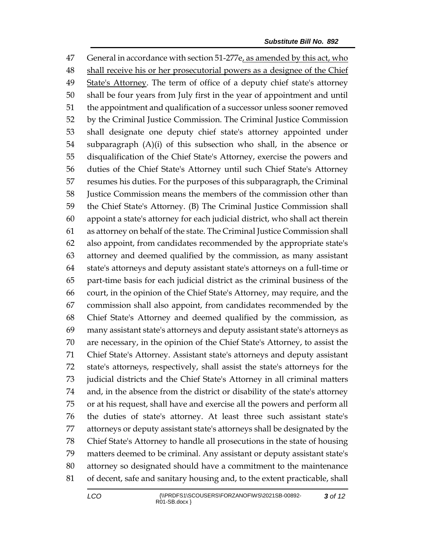General in accordance with section 51-277e, as amended by this act, who shall receive his or her prosecutorial powers as a designee of the Chief 49 State's Attorney. The term of office of a deputy chief state's attorney shall be four years from July first in the year of appointment and until the appointment and qualification of a successor unless sooner removed by the Criminal Justice Commission. The Criminal Justice Commission shall designate one deputy chief state's attorney appointed under subparagraph (A)(i) of this subsection who shall, in the absence or disqualification of the Chief State's Attorney, exercise the powers and duties of the Chief State's Attorney until such Chief State's Attorney resumes his duties. For the purposes of this subparagraph, the Criminal Justice Commission means the members of the commission other than the Chief State's Attorney. (B) The Criminal Justice Commission shall appoint a state's attorney for each judicial district, who shall act therein as attorney on behalf of the state. The Criminal Justice Commission shall also appoint, from candidates recommended by the appropriate state's attorney and deemed qualified by the commission, as many assistant state's attorneys and deputy assistant state's attorneys on a full-time or part-time basis for each judicial district as the criminal business of the court, in the opinion of the Chief State's Attorney, may require, and the commission shall also appoint, from candidates recommended by the Chief State's Attorney and deemed qualified by the commission, as many assistant state's attorneys and deputy assistant state's attorneys as are necessary, in the opinion of the Chief State's Attorney, to assist the Chief State's Attorney. Assistant state's attorneys and deputy assistant state's attorneys, respectively, shall assist the state's attorneys for the judicial districts and the Chief State's Attorney in all criminal matters and, in the absence from the district or disability of the state's attorney or at his request, shall have and exercise all the powers and perform all the duties of state's attorney. At least three such assistant state's attorneys or deputy assistant state's attorneys shall be designated by the Chief State's Attorney to handle all prosecutions in the state of housing matters deemed to be criminal. Any assistant or deputy assistant state's attorney so designated should have a commitment to the maintenance of decent, safe and sanitary housing and, to the extent practicable, shall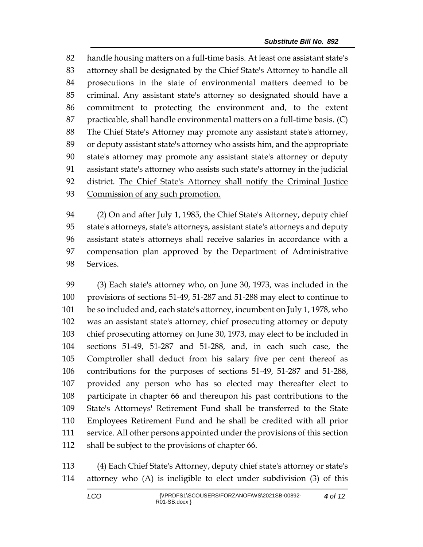handle housing matters on a full-time basis. At least one assistant state's attorney shall be designated by the Chief State's Attorney to handle all prosecutions in the state of environmental matters deemed to be criminal. Any assistant state's attorney so designated should have a commitment to protecting the environment and, to the extent practicable, shall handle environmental matters on a full-time basis. (C) The Chief State's Attorney may promote any assistant state's attorney, or deputy assistant state's attorney who assists him, and the appropriate state's attorney may promote any assistant state's attorney or deputy assistant state's attorney who assists such state's attorney in the judicial 92 district. The Chief State's Attorney shall notify the Criminal Justice Commission of any such promotion.

 (2) On and after July 1, 1985, the Chief State's Attorney, deputy chief state's attorneys, state's attorneys, assistant state's attorneys and deputy assistant state's attorneys shall receive salaries in accordance with a compensation plan approved by the Department of Administrative Services.

 (3) Each state's attorney who, on June 30, 1973, was included in the provisions of sections 51-49, 51-287 and 51-288 may elect to continue to be so included and, each state's attorney, incumbent on July 1, 1978, who was an assistant state's attorney, chief prosecuting attorney or deputy chief prosecuting attorney on June 30, 1973, may elect to be included in sections 51-49, 51-287 and 51-288, and, in each such case, the Comptroller shall deduct from his salary five per cent thereof as contributions for the purposes of sections 51-49, 51-287 and 51-288, provided any person who has so elected may thereafter elect to participate in chapter 66 and thereupon his past contributions to the State's Attorneys' Retirement Fund shall be transferred to the State Employees Retirement Fund and he shall be credited with all prior service. All other persons appointed under the provisions of this section shall be subject to the provisions of chapter 66.

 (4) Each Chief State's Attorney, deputy chief state's attorney or state's attorney who (A) is ineligible to elect under subdivision (3) of this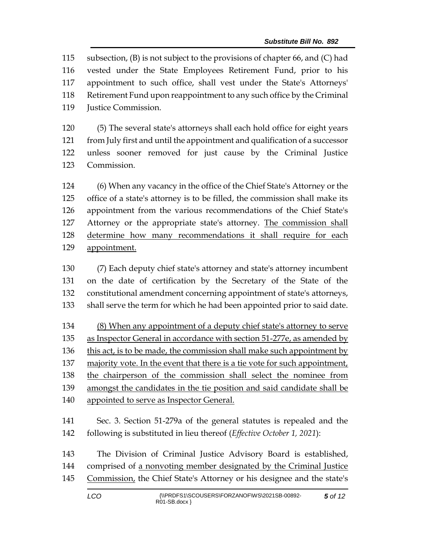subsection, (B) is not subject to the provisions of chapter 66, and (C) had vested under the State Employees Retirement Fund, prior to his appointment to such office, shall vest under the State's Attorneys' Retirement Fund upon reappointment to any such office by the Criminal Justice Commission.

 (5) The several state's attorneys shall each hold office for eight years from July first and until the appointment and qualification of a successor unless sooner removed for just cause by the Criminal Justice Commission.

 (6) When any vacancy in the office of the Chief State's Attorney or the office of a state's attorney is to be filled, the commission shall make its appointment from the various recommendations of the Chief State's Attorney or the appropriate state's attorney. The commission shall determine how many recommendations it shall require for each appointment.

 (7) Each deputy chief state's attorney and state's attorney incumbent on the date of certification by the Secretary of the State of the constitutional amendment concerning appointment of state's attorneys, shall serve the term for which he had been appointed prior to said date.

 (8) When any appointment of a deputy chief state's attorney to serve as Inspector General in accordance with section 51-277e, as amended by 136 this act, is to be made, the commission shall make such appointment by majority vote. In the event that there is a tie vote for such appointment, the chairperson of the commission shall select the nominee from amongst the candidates in the tie position and said candidate shall be appointed to serve as Inspector General.

 Sec. 3. Section 51-279a of the general statutes is repealed and the following is substituted in lieu thereof (*Effective October 1, 2021*):

 The Division of Criminal Justice Advisory Board is established, comprised of a nonvoting member designated by the Criminal Justice Commission, the Chief State's Attorney or his designee and the state's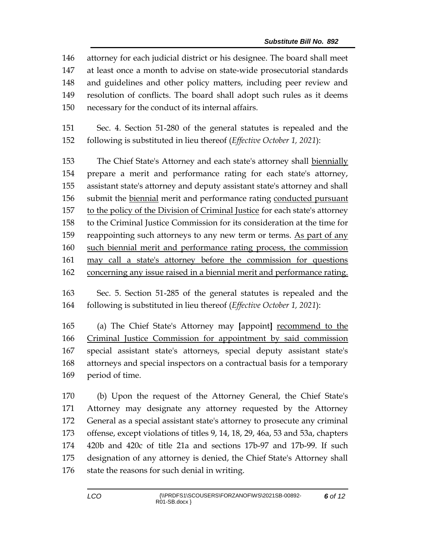attorney for each judicial district or his designee. The board shall meet at least once a month to advise on state-wide prosecutorial standards and guidelines and other policy matters, including peer review and resolution of conflicts. The board shall adopt such rules as it deems necessary for the conduct of its internal affairs.

 Sec. 4. Section 51-280 of the general statutes is repealed and the following is substituted in lieu thereof (*Effective October 1, 2021*):

 The Chief State's Attorney and each state's attorney shall biennially prepare a merit and performance rating for each state's attorney, assistant state's attorney and deputy assistant state's attorney and shall submit the biennial merit and performance rating conducted pursuant to the policy of the Division of Criminal Justice for each state's attorney to the Criminal Justice Commission for its consideration at the time for 159 reappointing such attorneys to any new term or terms. As part of any such biennial merit and performance rating process, the commission may call a state's attorney before the commission for questions concerning any issue raised in a biennial merit and performance rating.

 Sec. 5. Section 51-285 of the general statutes is repealed and the following is substituted in lieu thereof (*Effective October 1, 2021*):

 (a) The Chief State's Attorney may **[**appoint**]** recommend to the Criminal Justice Commission for appointment by said commission special assistant state's attorneys, special deputy assistant state's attorneys and special inspectors on a contractual basis for a temporary period of time.

 (b) Upon the request of the Attorney General, the Chief State's Attorney may designate any attorney requested by the Attorney General as a special assistant state's attorney to prosecute any criminal offense, except violations of titles 9, 14, 18, 29, 46a, 53 and 53a, chapters 420b and 420c of title 21a and sections 17b-97 and 17b-99. If such designation of any attorney is denied, the Chief State's Attorney shall 176 state the reasons for such denial in writing.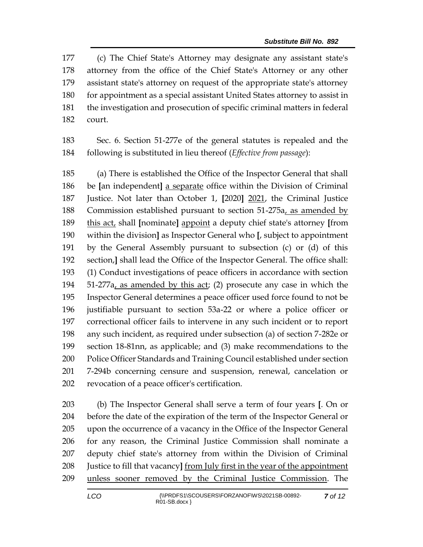(c) The Chief State's Attorney may designate any assistant state's attorney from the office of the Chief State's Attorney or any other assistant state's attorney on request of the appropriate state's attorney for appointment as a special assistant United States attorney to assist in the investigation and prosecution of specific criminal matters in federal court.

 Sec. 6. Section 51-277e of the general statutes is repealed and the following is substituted in lieu thereof (*Effective from passage*):

 (a) There is established the Office of the Inspector General that shall be **[**an independent**]** a separate office within the Division of Criminal Justice. Not later than October 1, **[**2020**]** 2021, the Criminal Justice Commission established pursuant to section 51-275a, as amended by this act, shall **[**nominate**]** appoint a deputy chief state's attorney **[**from within the division**]** as Inspector General who **[**, subject to appointment by the General Assembly pursuant to subsection (c) or (d) of this section,**]** shall lead the Office of the Inspector General. The office shall: (1) Conduct investigations of peace officers in accordance with section 51-277a, as amended by this act; (2) prosecute any case in which the Inspector General determines a peace officer used force found to not be justifiable pursuant to section 53a-22 or where a police officer or correctional officer fails to intervene in any such incident or to report any such incident, as required under subsection (a) of section 7-282e or section 18-81nn, as applicable; and (3) make recommendations to the Police Officer Standards and Training Council established under section 7-294b concerning censure and suspension, renewal, cancelation or revocation of a peace officer's certification.

 (b) The Inspector General shall serve a term of four years **[**. On or before the date of the expiration of the term of the Inspector General or upon the occurrence of a vacancy in the Office of the Inspector General for any reason, the Criminal Justice Commission shall nominate a deputy chief state's attorney from within the Division of Criminal Justice to fill that vacancy**]** from July first in the year of the appointment unless sooner removed by the Criminal Justice Commission. The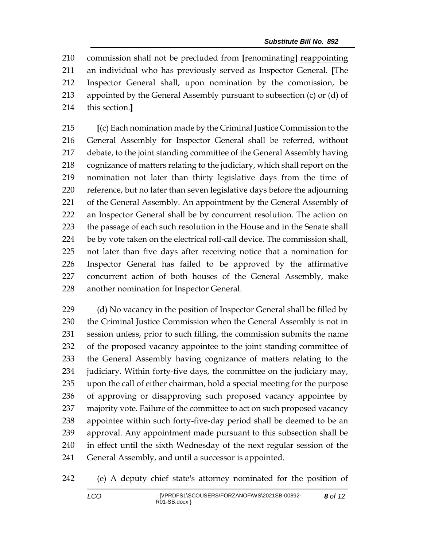commission shall not be precluded from **[**renominating**]** reappointing an individual who has previously served as Inspector General. **[**The Inspector General shall, upon nomination by the commission, be appointed by the General Assembly pursuant to subsection (c) or (d) of this section.**]**

 **[**(c) Each nomination made by the Criminal Justice Commission to the General Assembly for Inspector General shall be referred, without debate, to the joint standing committee of the General Assembly having cognizance of matters relating to the judiciary, which shall report on the nomination not later than thirty legislative days from the time of reference, but no later than seven legislative days before the adjourning 221 of the General Assembly. An appointment by the General Assembly of an Inspector General shall be by concurrent resolution. The action on 223 the passage of each such resolution in the House and in the Senate shall be by vote taken on the electrical roll-call device. The commission shall, not later than five days after receiving notice that a nomination for Inspector General has failed to be approved by the affirmative concurrent action of both houses of the General Assembly, make another nomination for Inspector General.

229 (d) No vacancy in the position of Inspector General shall be filled by the Criminal Justice Commission when the General Assembly is not in session unless, prior to such filling, the commission submits the name of the proposed vacancy appointee to the joint standing committee of the General Assembly having cognizance of matters relating to the judiciary. Within forty-five days, the committee on the judiciary may, upon the call of either chairman, hold a special meeting for the purpose of approving or disapproving such proposed vacancy appointee by majority vote. Failure of the committee to act on such proposed vacancy appointee within such forty-five-day period shall be deemed to be an approval. Any appointment made pursuant to this subsection shall be in effect until the sixth Wednesday of the next regular session of the General Assembly, and until a successor is appointed.

(e) A deputy chief state's attorney nominated for the position of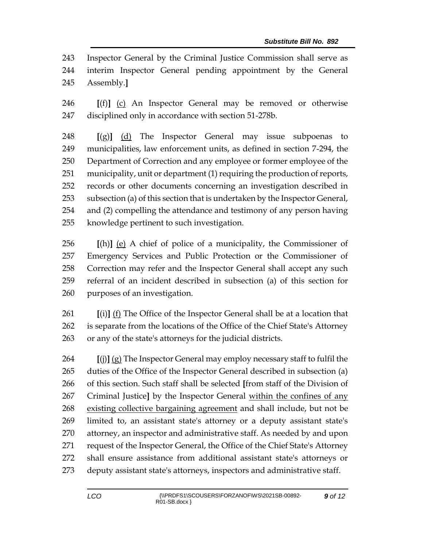Inspector General by the Criminal Justice Commission shall serve as interim Inspector General pending appointment by the General Assembly.**]**

 **[**(f)**]** (c) An Inspector General may be removed or otherwise disciplined only in accordance with section 51-278b.

 **[**(g)**]** (d) The Inspector General may issue subpoenas to municipalities, law enforcement units, as defined in section 7-294, the Department of Correction and any employee or former employee of the municipality, unit or department (1) requiring the production of reports, records or other documents concerning an investigation described in subsection (a) of this section that is undertaken by the Inspector General, and (2) compelling the attendance and testimony of any person having knowledge pertinent to such investigation.

 **[**(h)**]** (e) A chief of police of a municipality, the Commissioner of Emergency Services and Public Protection or the Commissioner of Correction may refer and the Inspector General shall accept any such referral of an incident described in subsection (a) of this section for purposes of an investigation.

 **[**(i)**]** (f) The Office of the Inspector General shall be at a location that is separate from the locations of the Office of the Chief State's Attorney or any of the state's attorneys for the judicial districts.

 **[**(j)**]** (g) The Inspector General may employ necessary staff to fulfil the duties of the Office of the Inspector General described in subsection (a) of this section. Such staff shall be selected **[**from staff of the Division of Criminal Justice**]** by the Inspector General within the confines of any existing collective bargaining agreement and shall include, but not be limited to, an assistant state's attorney or a deputy assistant state's attorney, an inspector and administrative staff. As needed by and upon request of the Inspector General, the Office of the Chief State's Attorney shall ensure assistance from additional assistant state's attorneys or deputy assistant state's attorneys, inspectors and administrative staff.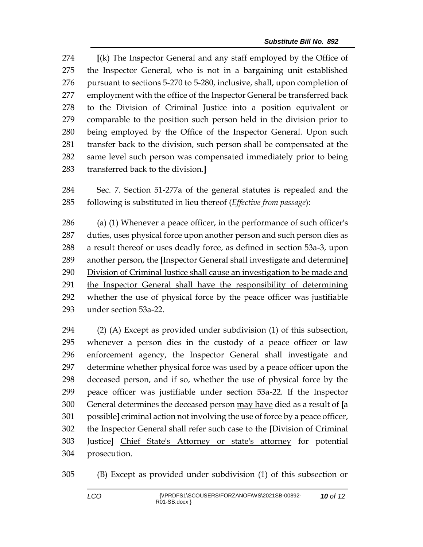**[**(k) The Inspector General and any staff employed by the Office of the Inspector General, who is not in a bargaining unit established pursuant to sections 5-270 to 5-280, inclusive, shall, upon completion of 277 employment with the office of the Inspector General be transferred back to the Division of Criminal Justice into a position equivalent or comparable to the position such person held in the division prior to being employed by the Office of the Inspector General. Upon such transfer back to the division, such person shall be compensated at the same level such person was compensated immediately prior to being transferred back to the division.**]**

 Sec. 7. Section 51-277a of the general statutes is repealed and the following is substituted in lieu thereof (*Effective from passage*):

 (a) (1) Whenever a peace officer, in the performance of such officer's duties, uses physical force upon another person and such person dies as a result thereof or uses deadly force, as defined in section 53a-3, upon another person, the **[**Inspector General shall investigate and determine**]** Division of Criminal Justice shall cause an investigation to be made and the Inspector General shall have the responsibility of determining whether the use of physical force by the peace officer was justifiable under section 53a-22.

 (2) (A) Except as provided under subdivision (1) of this subsection, whenever a person dies in the custody of a peace officer or law enforcement agency, the Inspector General shall investigate and determine whether physical force was used by a peace officer upon the deceased person, and if so, whether the use of physical force by the peace officer was justifiable under section 53a-22. If the Inspector General determines the deceased person may have died as a result of **[**a possible**]** criminal action not involving the use of force by a peace officer, the Inspector General shall refer such case to the **[**Division of Criminal Justice**]** Chief State's Attorney or state's attorney for potential prosecution.

(B) Except as provided under subdivision (1) of this subsection or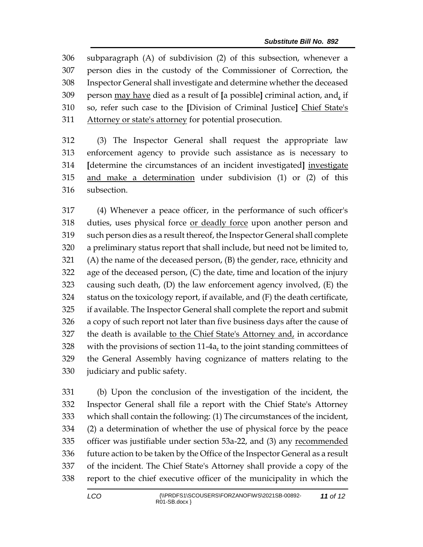subparagraph (A) of subdivision (2) of this subsection, whenever a person dies in the custody of the Commissioner of Correction, the Inspector General shall investigate and determine whether the deceased person may have died as a result of **[**a possible**]** criminal action, and, if so, refer such case to the **[**Division of Criminal Justice**]** Chief State's Attorney or state's attorney for potential prosecution.

 (3) The Inspector General shall request the appropriate law enforcement agency to provide such assistance as is necessary to **[**determine the circumstances of an incident investigated**]** investigate and make a determination under subdivision (1) or (2) of this subsection.

 (4) Whenever a peace officer, in the performance of such officer's 318 duties, uses physical force <u>or deadly force</u> upon another person and such person dies as a result thereof, the Inspector General shall complete a preliminary status report that shall include, but need not be limited to, (A) the name of the deceased person, (B) the gender, race, ethnicity and age of the deceased person, (C) the date, time and location of the injury causing such death, (D) the law enforcement agency involved, (E) the status on the toxicology report, if available, and (F) the death certificate, if available. The Inspector General shall complete the report and submit a copy of such report not later than five business days after the cause of the death is available to the Chief State's Attorney and, in accordance with the provisions of section 11-4a, to the joint standing committees of the General Assembly having cognizance of matters relating to the judiciary and public safety.

 (b) Upon the conclusion of the investigation of the incident, the Inspector General shall file a report with the Chief State's Attorney which shall contain the following: (1) The circumstances of the incident, (2) a determination of whether the use of physical force by the peace officer was justifiable under section 53a-22, and (3) any recommended future action to be taken by the Office of the Inspector General as a result of the incident. The Chief State's Attorney shall provide a copy of the report to the chief executive officer of the municipality in which the